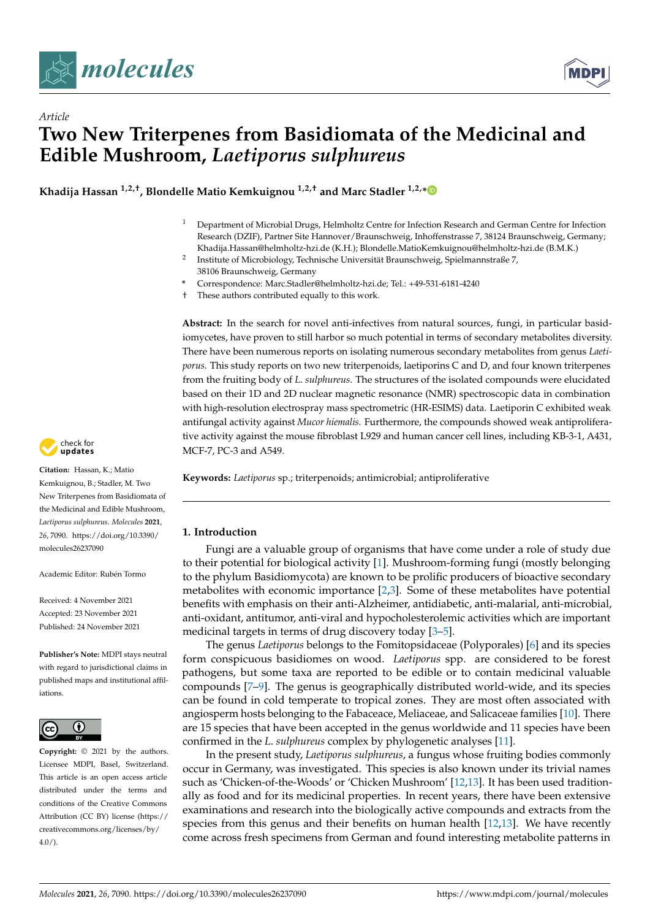

*Article*



# **Two New Triterpenes from Basidiomata of the Medicinal and Edible Mushroom,** *Laetiporus sulphureus*

**Khadija Hassan 1,2,†, Blondelle Matio Kemkuignou 1,2,† and Marc Stadler 1,2,[\\*](https://orcid.org/0000-0002-7284-8671)**

- <sup>1</sup> Department of Microbial Drugs, Helmholtz Centre for Infection Research and German Centre for Infection Research (DZIF), Partner Site Hannover/Braunschweig, Inhoffenstrasse 7, 38124 Braunschweig, Germany; Khadija.Hassan@helmholtz-hzi.de (K.H.); Blondelle.MatioKemkuignou@helmholtz-hzi.de (B.M.K.)
- 2 Institute of Microbiology, Technische Universität Braunschweig, Spielmannstraße 7, 38106 Braunschweig, Germany
- **\*** Correspondence: Marc.Stadler@helmholtz-hzi.de; Tel.: +49-531-6181-4240
- † These authors contributed equally to this work.

**Abstract:** In the search for novel anti-infectives from natural sources, fungi, in particular basidiomycetes, have proven to still harbor so much potential in terms of secondary metabolites diversity. There have been numerous reports on isolating numerous secondary metabolites from genus *Laetiporus*. This study reports on two new triterpenoids, laetiporins C and D, and four known triterpenes from the fruiting body of *L*. *sulphureus*. The structures of the isolated compounds were elucidated based on their 1D and 2D nuclear magnetic resonance (NMR) spectroscopic data in combination with high-resolution electrospray mass spectrometric (HR-ESIMS) data. Laetiporin C exhibited weak antifungal activity against *Mucor hiemalis.* Furthermore, the compounds showed weak antiproliferative activity against the mouse fibroblast L929 and human cancer cell lines, including KB-3-1, A431, MCF-7, PC-3 and A549.

**Keywords:** *Laetiporus* sp.; triterpenoids; antimicrobial; antiproliferative

# **1. Introduction**

Fungi are a valuable group of organisms that have come under a role of study due to their potential for biological activity [\[1\]](#page-7-0). Mushroom-forming fungi (mostly belonging to the phylum Basidiomycota) are known to be prolific producers of bioactive secondary metabolites with economic importance [\[2](#page-7-1)[,3\]](#page-7-2). Some of these metabolites have potential benefits with emphasis on their anti-Alzheimer, antidiabetic, anti-malarial, anti-microbial, anti-oxidant, antitumor, anti-viral and hypocholesterolemic activities which are important medicinal targets in terms of drug discovery today [\[3–](#page-7-2)[5\]](#page-7-3).

The genus *Laetiporus* belongs to the Fomitopsidaceae (Polyporales) [\[6\]](#page-7-4) and its species form conspicuous basidiomes on wood. *Laetiporus* spp. are considered to be forest pathogens, but some taxa are reported to be edible or to contain medicinal valuable compounds [\[7–](#page-7-5)[9\]](#page-7-6). The genus is geographically distributed world-wide, and its species can be found in cold temperate to tropical zones. They are most often associated with angiosperm hosts belonging to the Fabaceace, Meliaceae, and Salicaceae families [\[10\]](#page-7-7). There are 15 species that have been accepted in the genus worldwide and 11 species have been confirmed in the *L*. *sulphureus* complex by phylogenetic analyses [\[11\]](#page-7-8).

In the present study, *Laetiporus sulphureus*, a fungus whose fruiting bodies commonly occur in Germany, was investigated. This species is also known under its trivial names such as 'Chicken-of-the-Woods' or 'Chicken Mushroom' [\[12](#page-7-9)[,13\]](#page-7-10). It has been used traditionally as food and for its medicinal properties. In recent years, there have been extensive examinations and research into the biologically active compounds and extracts from the species from this genus and their benefits on human health [\[12](#page-7-9)[,13\]](#page-7-10). We have recently come across fresh specimens from German and found interesting metabolite patterns in



**Citation:** Hassan, K.; Matio Kemkuignou, B.; Stadler, M. Two New Triterpenes from Basidiomata of the Medicinal and Edible Mushroom, *Laetiporus sulphureus*. *Molecules* **2021**, *26*, 7090. [https://doi.org/10.3390/](https://doi.org/10.3390/molecules26237090) [molecules26237090](https://doi.org/10.3390/molecules26237090)

Academic Editor: Rubén Tormo

Received: 4 November 2021 Accepted: 23 November 2021 Published: 24 November 2021

**Publisher's Note:** MDPI stays neutral with regard to jurisdictional claims in published maps and institutional affiliations.



**Copyright:** © 2021 by the authors. Licensee MDPI, Basel, Switzerland. This article is an open access article distributed under the terms and conditions of the Creative Commons Attribution (CC BY) license (https:/[/](https://creativecommons.org/licenses/by/4.0/) [creativecommons.org/licenses/by/](https://creativecommons.org/licenses/by/4.0/)  $4.0/$ ).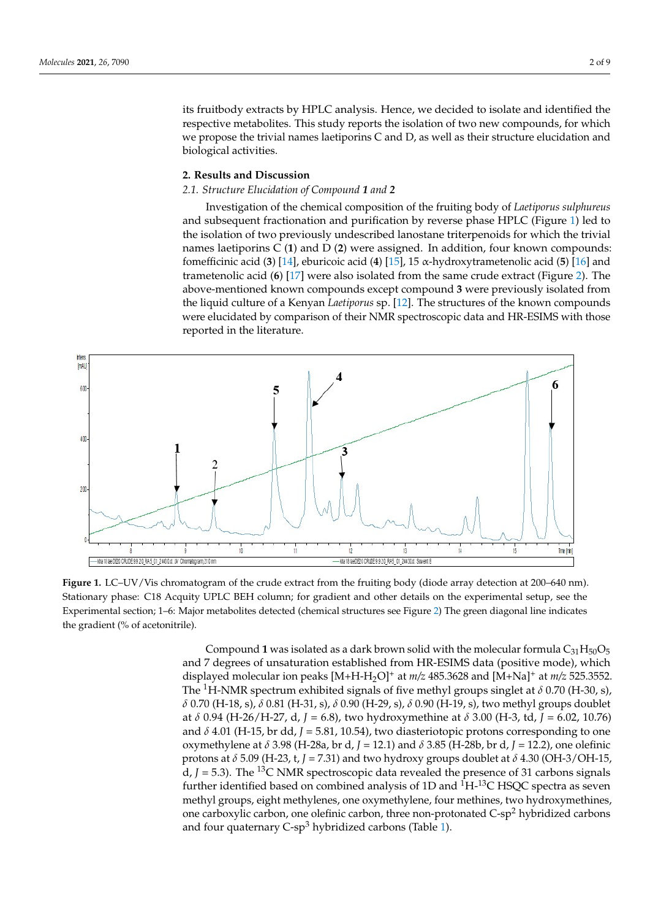its fruitbody extracts by HPLC analysis. Hence, we decided to isolate and identified the respective metabolites. This study reports the isolation of two new compounds, for which we propose the trivial names laetiporins C and D, as well as their structure elucidation and propose the trivial names laetiporins C and D, as well as their structure elucidation and biological activities. biological activities.

# **2. Results and Discussion** 2. Results and Discussion

# *2.1. Structure Elucidation of Compound 1 and 2* 2.1. Structure Elucidation of Compound 1 and 2

Investigation of the chemical composition of the fruiting body of *Laetiporus sulphureus* Investigation of the chemical composition of the fruiting body of Laetiporus sulphureus and subsequent fractionation and purification by reverse phase HPLC (Figure [1\)](#page-1-0) led to and subsequent fractionation and purification by reverse phase HPLC (Figure 1) led to the isolation of two previously undescribed lanostane triterpenoids for which the trivial the isolation of two previously undescribed lanostane triterpenoids for which the trivial names laetiporins C (**1**) and D (**2**) were assigned. In addition, four known compounds: names laetiporins C (1) and D (2) were assigned. In addition, four known compounds: fomefficinic acid (**3**) [\[14\]](#page-8-0), eburicoic acid (**4**) [\[15\]](#page-8-1), 15 α-hydroxytrametenolic acid (**5**) [\[16\]](#page-8-2) and fomefficinic acid (3) [14], eburicoic acid (4) [15], 15 α-hydroxytrametenolic acid (5) [16] trametenolic acid (6) [\[17\]](#page-8-3) wer[e](#page-2-0) also isolated from the same crude extract (Figure 2). The above-mentioned known compounds except compound **3** were previously isolated from The above-mentioned known compounds except compound 3 were previously isolated the liquid culture of a Kenyan *Laetiporus* sp. [\[12\]](#page-7-9). The structures of the known compounds were elucidated by comparison of their NMR spectroscopic data and HR-ESIMS with those reported in the literature.

<span id="page-1-0"></span>

Figure 1. LC–UV/Vis chromatogram of the crude extract from the fruiting body (diode array detection at 200–640 nm). Stationary phase: C18 Acquity UPLC BEH column; for gradient and other details on the experimental setup, see the Experimental section; 1-6: Major metabolites detected (chemical structures see Figure [2\)](#page-2-0) The green diagonal line indicates the gradient (% of acetonitrile). the gradient (% of acetonitrile).

Compound 1 was isolated as a dark brown solid with the molecular formula  $C_{31}H_{50}O_5$ and 7 degrees of unsaturation established from HR-ESIMS data (positive mode), which displayed molecular ion peaks [M+H-H2O]<sup>+</sup> at *m/z* 485.3628 and [M+Na]<sup>+</sup> at *m/z* 525.3552. The <sup>1</sup>H-NMR spectrum exhibited signals of five methyl groups singlet at  $\delta$  0.70 (H-30, s), *δ* 0.70 (H-18, s), *δ* 0.81 (H-31, s), *δ* 0.90 (H-29, s), *δ* 0.90 (H-19, s), two methyl groups doublet at *δ* 0.94 (H-26/H-27, d, *J* = 6.8), two hydroxymethine at *δ* 3.00 (H-3, td, *J* = 6.02, 10.76) and  $\delta$  4.01 (H-15, br dd,  $J = 5.81$ , 10.54), two diasteriotopic protons corresponding to one oxymethylene at *δ* 3.98 (H-28a, br d, *J* = 12.1) and *δ* 3.85 (H-28b, br d, *J* = 12.2), one olefinic protons at *δ* 5.09 (H-23, t, *J* = 7.31) and two hydroxy groups doublet at *δ* 4.30 (OH-3/OH-15, d,  $J = 5.3$ ). The <sup>13</sup>C NMR spectroscopic data revealed the presence of 31 carbons signals further identified based on combined analysis of 1D and  ${}^{1}H_{-}{}^{13}C$  HSQC spectra as seven methyl groups, eight methylenes, one oxymethylene, four methines, two hydroxymethines, one carboxylic carbon, one olefinic carbon, three non-protonated  $C-sp^2$  hybridized carbons and four quaternary  $C$ -sp<sup>3</sup> hybridized carbons (Table [1\)](#page-3-0).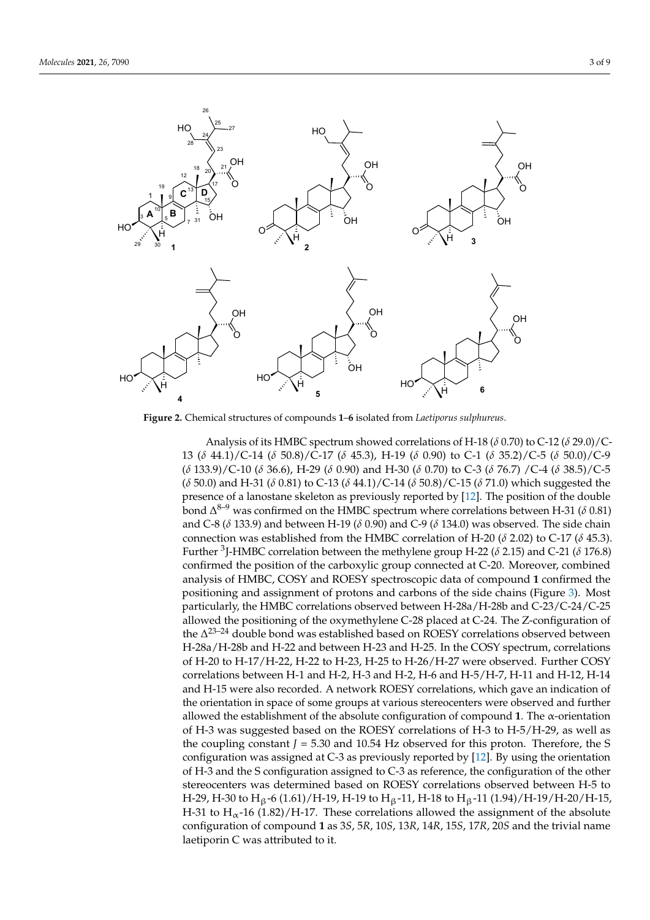<span id="page-2-0"></span>

**Figure 2.** Chemical structures of compounds **1**–**6** isolated from *Laetiporus sulphureus.* **Figure 2.** Chemical structures of compounds **1**–**6** isolated from *Laetiporus sulphureus*.

11 *A* analysis of as 1 hole specular showed correlations of 11-10 (*δ* 0.70) to C-12 (*δ* 27.0)/C-9<br>13 (*δ* 44.1)/C-14 (*δ* 50.8)/C-17 (*δ* 45.3), H-19 (*δ* 0.90) to C-1 (*δ* 35.2)/C-5 (*δ* 50.0)/C-9 (*δ* 133.9)/C-10 (*δ* 36.6), H-29 (*δ* 0.90) and H-30 (*δ* 0.70) to C-3 (*δ* 76.7)/C-4 (*δ* 38.5)/C-5  $(\delta$  50.0) and H-31 ( $\delta$  0.81) to C-13 ( $\delta$  44.1)/C-14 ( $\delta$  50.8)/C-15 ( $\delta$  71.0) which suggested the presence of a lanostane skeleton as previously reported by [\[12\]](#page-7-9). The position of the double  $\delta^{0.9}$  was confirmed on the HMBC spectrum where correlations between H-31 (*δ* 0.81) and C-8 ( $\delta$  133.9) and between H-19 ( $\delta$  0.90) and C-9 ( $\delta$  134.0) was observed. The side chain  $\frac{1}{2}$  connection was established from the HMBC correlation of H-20 (*δ* 2.02) to C-17 (*δ* 45.3). Further <sup>3</sup>J-HMBC correlation between the methylene group H-22 ( $\delta$  2.15) and C-21 ( $\delta$  176.8) confirmed the position of the carboxylic group connected at *C*-20. Moreover, combined analysis of HMBC, COSY and ROESY spectroscopic data of compound 1 confirmed the positioning and assignment of protons and carbons of the side chains (Figure [3\)](#page-4-0). Most particularly, the HMBC correlations observed between H-28a/H-28b and  $C-23/C-24/C-25$ allowed the positioning of the oxymethylene C-28 placed at C-24. The Z-configuration of the  $\Delta^{23-24}$  double bond was established based on ROESY correlations observed between Analysis of its HMBC spectrum showed correlations of H-18 (*δ* 0.70) to C-12 (*δ* 29.0)/C-H-28a/H-28b and H-22 and between H-23 and H-25. In the COSY spectrum, correlations of H-20 to H-17/H-22, H-22 to H-23, H-25 to H-26/H-27 were observed. Further COSY correlations between H-1 and H-2, H-3 and H-2, H-6 and H-5/H-7, H-11 and H-12, H-14 and H-15 were also recorded. A network ROESY correlations, which gave an indication of the orientation in space of some groups at various stereocenters were observed and further allowed the establishment of the absolute configuration of compound 1. The  $\alpha$ -orientation of H-3 was suggested based on the ROESY correlations of H-3 to H-5/H-29, as well as the coupling constant  $J = 5.30$  and 10.54 Hz observed for this proton. Therefore, the S configuration was assigned at C-3 as previously reported by [\[12\]](#page-7-9). By using the orientation of H-3 and the S configuration assigned to C-3 as reference, the configuration of the other stereocenters was determined based on ROESY correlations observed between H-5 to H-29, H-30 to  $H_6$ -6 (1.61)/H-19, H-19 to  $H_6$ -11, H-18 to  $H_6$ -11 (1.94)/H-19/H-20/H-15, H-31 to  $H_{\alpha}$ -16 (1.82)/H-17. These correlations allowed the assignment of the absolute configuration of compound **1** as 3*S*, 5*R*, 10*S*, 13*R*, 14*R*, 15*S*, 17*R*, 20*S* and the trivial name laetiporin C was attributed to it.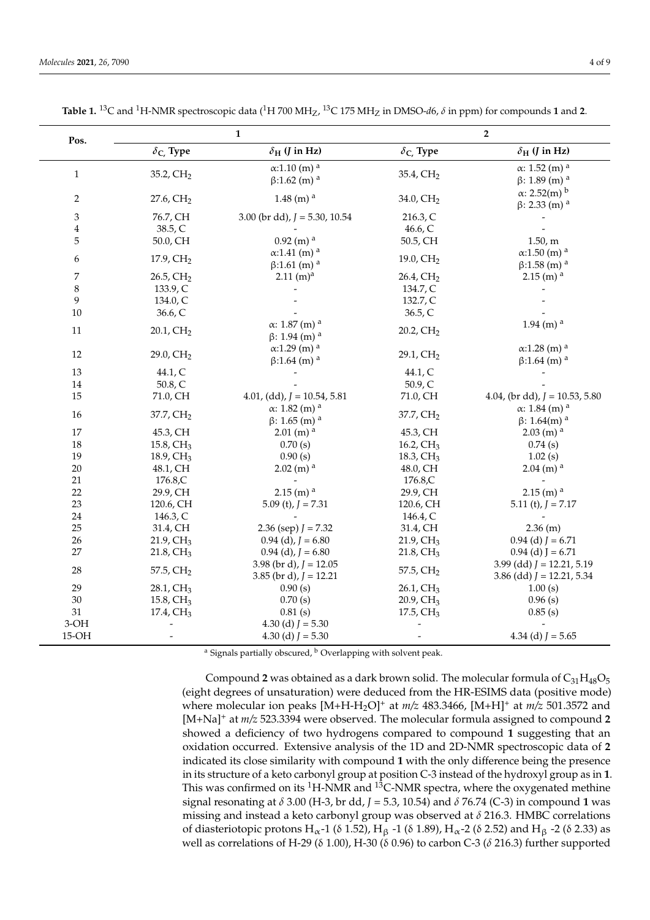| Pos.                           | $\mathbf{1}$             |                                    | $\overline{2}$             |                                    |
|--------------------------------|--------------------------|------------------------------------|----------------------------|------------------------------------|
|                                | $\delta_{\rm C}$ , Type  | $\delta_{\rm H}$ ( <i>J</i> in Hz) | $\delta_{\text{C}}$ . Type | $\delta_{\rm H}$ ( <i>J</i> in Hz) |
|                                |                          | $\alpha$ :1.10 (m) <sup>a</sup>    |                            | $\alpha$ : 1.52 (m) <sup>a</sup>   |
| $\mathbf{1}$                   | 35.2, CH <sub>2</sub>    | $\beta$ :1.62 (m) <sup>a</sup>     | 35.4, CH <sub>2</sub>      | $\beta$ : 1.89 (m) <sup>a</sup>    |
| $\overline{c}$                 | 27.6, CH <sub>2</sub>    | 1.48 (m) $^{\rm a}$                | 34.0, CH <sub>2</sub>      | $\alpha$ : 2.52(m) <sup>b</sup>    |
|                                |                          |                                    |                            | $\beta$ : 2.33 (m) <sup>a</sup>    |
| $\ensuremath{\mathfrak{Z}}$    | 76.7, CH                 | 3.00 (br dd), $J = 5.30$ , 10.54   | 216.3, C                   |                                    |
| 4                              | 38.5, C                  |                                    | 46.6, C                    |                                    |
| $\mathbf 5$                    | 50.0, CH                 | $0.92$ (m) <sup>a</sup>            | 50.5, CH                   | 1.50, m                            |
| 6                              | 17.9, $CH2$              | $\alpha$ :1.41 (m) <sup>a</sup>    | 19.0, $CH2$                | $\alpha$ :1.50 (m) <sup>a</sup>    |
|                                |                          | $\beta$ :1.61 (m) <sup>a</sup>     |                            | $\beta$ :1.58 (m) <sup>a</sup>     |
| 7                              | 26.5, CH <sub>2</sub>    | $2.11 \text{ (m)}^{\text{a}}$      | $26.4$ , $CH2$             | $2.15$ (m) <sup>a</sup>            |
| 8                              | 133.9, C                 |                                    | 134.7, C                   |                                    |
| 9                              | 134.0, C                 |                                    | 132.7, C                   |                                    |
| 10                             | 36.6, C                  |                                    | 36.5, C                    |                                    |
| 11                             | $20.1$ , $CH2$           | $\alpha$ : 1.87 (m) <sup>a</sup>   | $20.2$ , $CH2$             | $1.94$ (m) <sup>a</sup>            |
|                                |                          | $\beta$ : 1.94 (m) <sup>a</sup>    |                            |                                    |
| 12                             | 29.0, $CH2$              | $\alpha$ :1.29 (m) <sup>a</sup>    | $29.1$ , $CH2$             | $\alpha$ :1.28 (m) <sup>a</sup>    |
|                                |                          | $\beta$ :1.64 (m) <sup>a</sup>     |                            | $\beta$ :1.64 (m) <sup>a</sup>     |
| 13                             | 44.1, C                  |                                    | 44.1, C                    |                                    |
| $14\,$                         | 50.8, C                  |                                    | 50.9, C                    |                                    |
| 15                             | 71.0, CH                 | 4.01, (dd), $J = 10.54$ , 5.81     | 71.0, CH                   | 4.04, (br dd), $J = 10.53, 5.80$   |
| $16\,$                         | 37.7, CH <sub>2</sub>    | $\alpha$ : 1.82 (m) <sup>a</sup>   | 37.7, CH <sub>2</sub>      | $\alpha$ : 1.84 (m) <sup>a</sup>   |
|                                |                          | $\beta$ : 1.65 (m) <sup>a</sup>    |                            | $\beta$ : 1.64(m) <sup>a</sup>     |
| $17\,$                         | 45.3, CH                 | $2.01$ (m) <sup>a</sup>            | 45.3, CH                   | $2.03$ (m) <sup>a</sup>            |
| 18                             | 15.8, $CH3$              | 0.70(s)                            | 16.2, $CH3$                | 0.74(s)                            |
| 19                             | 18.9, $CH3$              | 0.90(s)                            | 18.3, $CH3$                | 1.02(s)                            |
| $20\,$                         | 48.1, CH                 | $2.02$ (m) <sup>a</sup>            | 48.0, CH                   | $2.04$ (m) <sup>a</sup>            |
| 21                             | 176.8,C                  |                                    | 176.8,C                    |                                    |
| 22                             | 29.9, CH                 | $2.15$ (m) <sup>a</sup>            | 29.9, CH                   | $2.15$ (m) <sup>a</sup>            |
| 23                             | 120.6, CH                | 5.09 (t), $I = 7.31$               | 120.6, CH                  | 5.11 (t), $J = 7.17$               |
| 24                             | 146.3, C                 |                                    | 146.4, C                   |                                    |
| 25                             | 31.4, CH                 | 2.36 (sep) $J = 7.32$              | 31.4, CH                   | $2.36$ (m)                         |
| 26                             | $21.9$ , $CH3$           | $0.94$ (d), $J = 6.80$             | $21.9$ , CH <sub>3</sub>   | $0.94$ (d) $J = 6.71$              |
| $27\,$                         | $21.8$ , CH <sub>3</sub> | $0.94$ (d), $J = 6.80$             | $21.8$ , CH <sub>3</sub>   | $0.94$ (d) J = 6.71                |
| 28                             | 57.5, $CH2$              | 3.98 (br d), $J = 12.05$           | 57.5, $CH2$                | 3.99 (dd) $J = 12.21, 5.19$        |
|                                |                          | 3.85 (br d), $J = 12.21$           |                            | 3.86 (dd) $J = 12.21, 5.34$        |
| 29                             | $28.1, \text{CH}_3$      | 0.90(s)                            | 26.1, CH <sub>3</sub>      | 1.00(s)                            |
| 30                             | 15.8, $CH3$              | 0.70(s)                            | $20.9, \text{CH}_3$        | 0.96(s)                            |
| 31                             | $17.4$ , $CH3$           | 0.81(s)                            | 17.5, $CH3$                | 0.85(s)                            |
| $3-OH$                         |                          | 4.30 (d) $J = 5.30$                |                            |                                    |
| $15-OH$                        |                          | 4.30 (d) $J = 5.30$                |                            | 4.34 (d) $J = 5.65$                |
| 20<br>$1 h \cap$<br>$\cdot$ 11 |                          |                                    |                            |                                    |

<span id="page-3-0"></span>**Table 1.**  $^{13}C$  and  $^{1}H$ -NMR spectroscopic data ( $^{1}H$  700 MH<sub>Z</sub>,  $^{13}C$  175 MH<sub>Z</sub> in DMSO-*d*6,  $\delta$  in ppm) for compounds **1** and **2**.

Signals partially obscured,  $\frac{b}{c}$  Overlapping with solvent peak.

Compound 2 was obtained as a dark brown solid. The molecular formula of  $C_{31}H_{48}O_5$ (eight degrees of unsaturation) were deduced from the HR-ESIMS data (positive mode) where molecular ion peaks [M+H-H2O]<sup>+</sup> at *m/z* 483.3466, [M+H]<sup>+</sup> at *m/z* 501.3572 and [M+Na]<sup>+</sup> at *m/z* 523.3394 were observed. The molecular formula assigned to compound **2** showed a deficiency of two hydrogens compared to compound **1** suggesting that an oxidation occurred. Extensive analysis of the 1D and 2D-NMR spectroscopic data of **2** indicated its close similarity with compound **1** with the only difference being the presence in its structure of a keto carbonyl group at position C-3 instead of the hydroxyl group as in **1**. This was confirmed on its  ${}^{1}$ H-NMR and  ${}^{13}$ C-NMR spectra, where the oxygenated methine signal resonating at *δ* 3.00 (H-3, br dd, *J* = 5.3, 10.54) and *δ* 76.74 (C-3) in compound **1** was missing and instead a keto carbonyl group was observed at *δ* 216.3. HMBC correlations of diasteriotopic protons H<sub>α</sub>-1 (δ 1.52), H<sub>β</sub> -1 (δ 1.89), H<sub>α</sub>-2 (δ 2.52) and H<sub>β</sub> -2 (δ 2.33) as well as correlations of H-29 (δ 1.00), H-30 (δ 0.96) to carbon C-3 (*δ* 216.3) further supported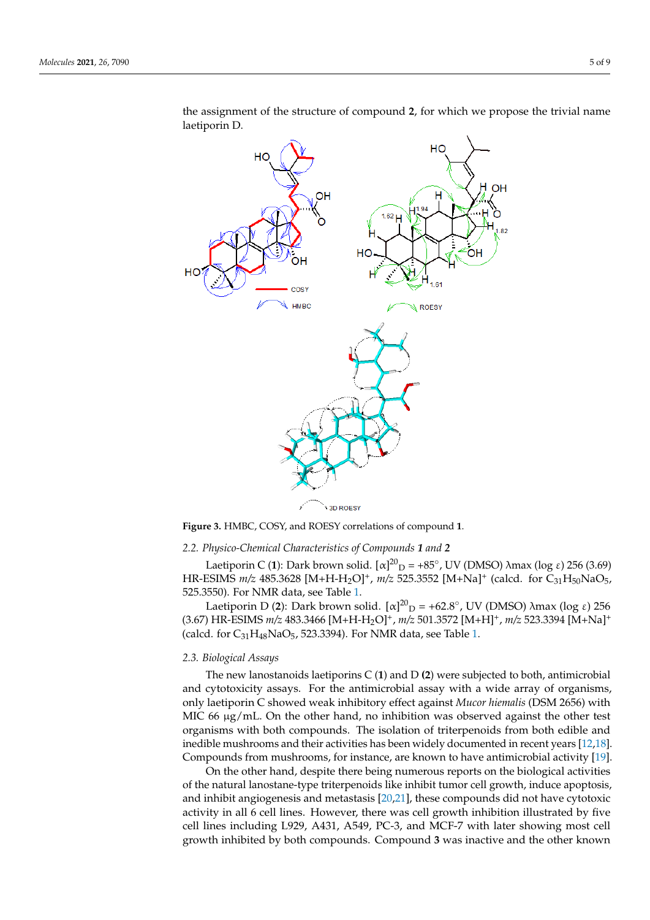<span id="page-4-0"></span>

the assignment of the structure of compound 2, for which we propose the trivial name laetiporin D.

**Figure 3.** HMBC, COSY, and ROESY correlations of compound 1.

## *2.2. Physico-Chemical Characteristics of Compounds 1 and 2*

Laetiporin C (1): Dark brown solid.  $[α]^{20}$ <sub>D</sub> = +85°, UV (DMSO) λmax (log ε) 256 (3.69) HR-ESIMS *m/z* 485.3628 [M+H-H<sub>2</sub>O]<sup>+</sup>, *m/z* 525.3552 [M+Na]<sup>+</sup> (calcd. for C<sub>31</sub>H<sub>50</sub>NaO<sub>5</sub>, 525.3550). For NMR data, see Table [1.](#page-3-0)

Laetiporin D (2): Dark brown solid.  $[α]^{20}$ <sub>D</sub> = +62.8°, UV (DMSO) λmax (log ε) 256 (3.67) HR-ESIMS  $m/z$  483.3466 [M+H-H<sub>2</sub>O]<sup>+</sup>,  $m/z$  501.3572 [M+H]<sup>+</sup>,  $m/z$  523.3394 [M+Na]<sup>+</sup> (calcd. for  $C_{31}H_{48}NaO_5$ , 523.3394). For NMR data, see Table [1.](#page-3-0)

#### *2.3. Biological Assays*

The new lanostanoids laetiporins C (**1**) and D **(2**) were subjected to both, antimicrobial and cytotoxicity assays. For the antimicrobial assay with a wide array of organisms, only laetiporin C showed weak inhibitory effect against *Mucor hiemalis* (DSM 2656) with MIC 66  $\mu$ g/mL. On the other hand, no inhibition was observed against the other test organisms with both compounds. The isolation of triterpenoids from both edible and inedible mushrooms and their activities has been widely documented in recent years [\[12](#page-7-9)[,18\]](#page-8-4). Compounds from mushrooms, for instance, are known to have antimicrobial activity [\[19\]](#page-8-5).

On the other hand, despite there being numerous reports on the biological activities of the natural lanostane-type triterpenoids like inhibit tumor cell growth, induce apoptosis, and inhibit angiogenesis and metastasis [\[20](#page-8-6)[,21\]](#page-8-7), these compounds did not have cytotoxic activity in all 6 cell lines. However, there was cell growth inhibition illustrated by five cell lines including L929, A431, A549, PC-3, and MCF-7 with later showing most cell growth inhibited by both compounds. Compound **3** was inactive and the other known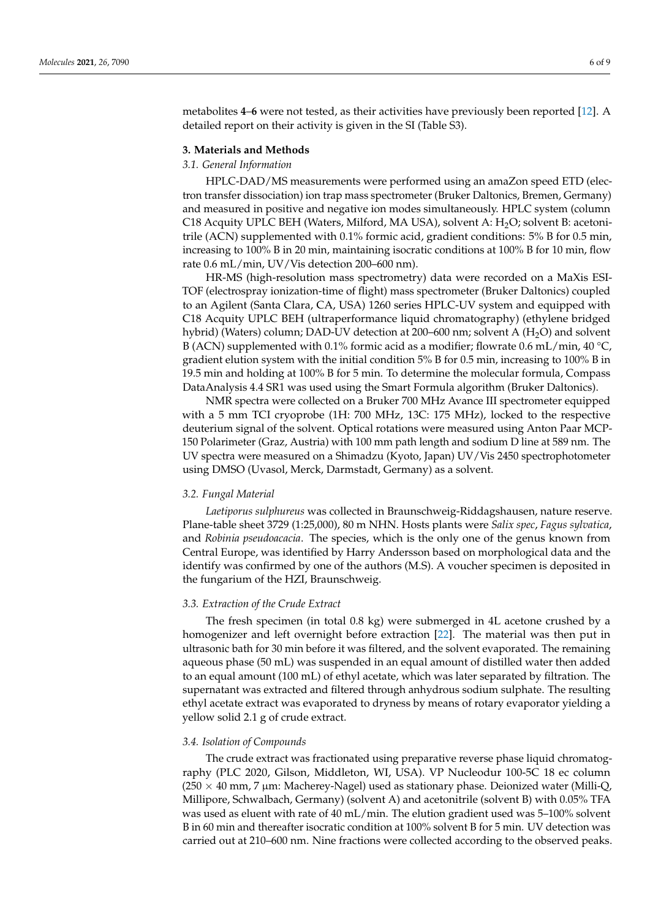metabolites **4**–**6** were not tested, as their activities have previously been reported [\[12\]](#page-7-9). A detailed report on their activity is given in the SI (Table S3).

#### **3. Materials and Methods**

#### *3.1. General Information*

HPLC-DAD/MS measurements were performed using an amaZon speed ETD (electron transfer dissociation) ion trap mass spectrometer (Bruker Daltonics, Bremen, Germany) and measured in positive and negative ion modes simultaneously. HPLC system (column C18 Acquity UPLC BEH (Waters, Milford, MA USA), solvent A:  $H<sub>2</sub>O$ ; solvent B: acetonitrile (ACN) supplemented with 0.1% formic acid, gradient conditions: 5% B for 0.5 min, increasing to 100% B in 20 min, maintaining isocratic conditions at 100% B for 10 min, flow rate 0.6 mL/min, UV/Vis detection 200–600 nm).

HR-MS (high-resolution mass spectrometry) data were recorded on a MaXis ESI-TOF (electrospray ionization-time of flight) mass spectrometer (Bruker Daltonics) coupled to an Agilent (Santa Clara, CA, USA) 1260 series HPLC-UV system and equipped with C18 Acquity UPLC BEH (ultraperformance liquid chromatography) (ethylene bridged hybrid) (Waters) column; DAD-UV detection at 200–600 nm; solvent A  $(H<sub>2</sub>O)$  and solvent B (ACN) supplemented with 0.1% formic acid as a modifier; flowrate 0.6 mL/min, 40 °C, gradient elution system with the initial condition 5% B for 0.5 min, increasing to 100% B in 19.5 min and holding at 100% B for 5 min. To determine the molecular formula, Compass DataAnalysis 4.4 SR1 was used using the Smart Formula algorithm (Bruker Daltonics).

NMR spectra were collected on a Bruker 700 MHz Avance III spectrometer equipped with a 5 mm TCI cryoprobe (1H: 700 MHz, 13C: 175 MHz), locked to the respective deuterium signal of the solvent. Optical rotations were measured using Anton Paar MCP-150 Polarimeter (Graz, Austria) with 100 mm path length and sodium D line at 589 nm. The UV spectra were measured on a Shimadzu (Kyoto, Japan) UV/Vis 2450 spectrophotometer using DMSO (Uvasol, Merck, Darmstadt, Germany) as a solvent.

#### *3.2. Fungal Material*

*Laetiporus sulphureus* was collected in Braunschweig-Riddagshausen, nature reserve. Plane-table sheet 3729 (1:25,000), 80 m NHN. Hosts plants were *Salix spec*, *Fagus sylvatica*, and *Robinia pseudoacacia*. The species, which is the only one of the genus known from Central Europe, was identified by Harry Andersson based on morphological data and the identify was confirmed by one of the authors (M.S). A voucher specimen is deposited in the fungarium of the HZI, Braunschweig.

## *3.3. Extraction of the Crude Extract*

The fresh specimen (in total 0.8 kg) were submerged in 4L acetone crushed by a homogenizer and left overnight before extraction [\[22\]](#page-8-8). The material was then put in ultrasonic bath for 30 min before it was filtered, and the solvent evaporated. The remaining aqueous phase (50 mL) was suspended in an equal amount of distilled water then added to an equal amount (100 mL) of ethyl acetate, which was later separated by filtration. The supernatant was extracted and filtered through anhydrous sodium sulphate. The resulting ethyl acetate extract was evaporated to dryness by means of rotary evaporator yielding a yellow solid 2.1 g of crude extract.

#### *3.4. Isolation of Compounds*

The crude extract was fractionated using preparative reverse phase liquid chromatography (PLC 2020, Gilson, Middleton, WI, USA). VP Nucleodur 100-5C 18 ec column  $(250 \times 40 \text{ mm}, 7 \text{ µm}:$  Macherey-Nagel) used as stationary phase. Deionized water (Milli-Q, Millipore, Schwalbach, Germany) (solvent A) and acetonitrile (solvent B) with 0.05% TFA was used as eluent with rate of 40 mL/min. The elution gradient used was 5–100% solvent B in 60 min and thereafter isocratic condition at 100% solvent B for 5 min. UV detection was carried out at 210–600 nm. Nine fractions were collected according to the observed peaks.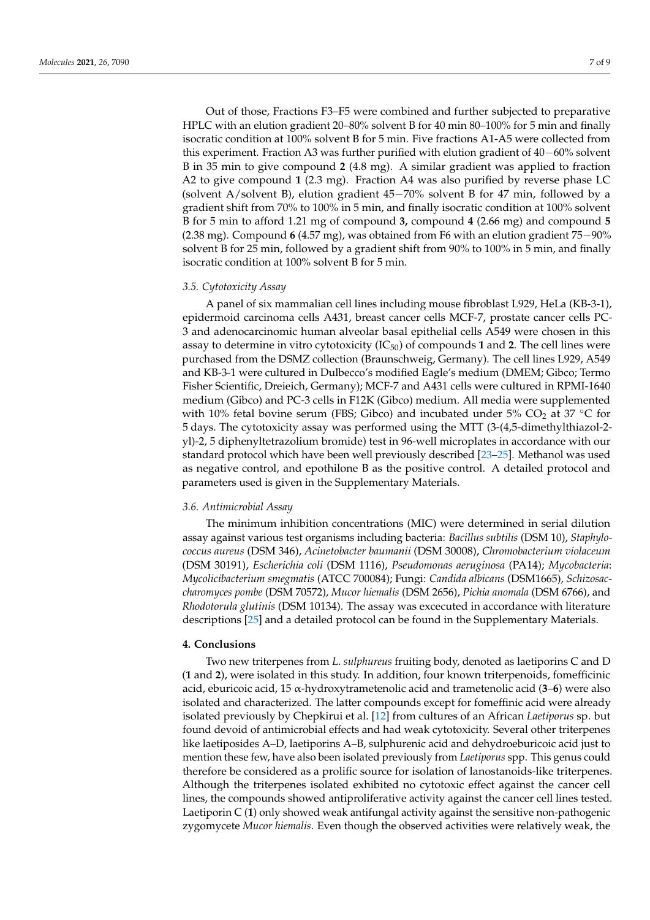Out of those, Fractions F3–F5 were combined and further subjected to preparative HPLC with an elution gradient 20–80% solvent B for 40 min 80–100% for 5 min and finally isocratic condition at 100% solvent B for 5 min. Five fractions A1-A5 were collected from this experiment. Fraction A3 was further purified with elution gradient of 40−60% solvent B in 35 min to give compound **2** (4.8 mg). A similar gradient was applied to fraction A2 to give compound **1** (2.3 mg). Fraction A4 was also purified by reverse phase LC (solvent A/solvent B), elution gradient 45−70% solvent B for 47 min, followed by a gradient shift from 70% to 100% in 5 min, and finally isocratic condition at 100% solvent B for 5 min to afford 1.21 mg of compound **3,** compound **4** (2.66 mg) and compound **5** (2.38 mg). Compound **6** (4.57 mg), was obtained from F6 with an elution gradient 75−90% solvent B for 25 min, followed by a gradient shift from 90% to 100% in 5 min, and finally isocratic condition at 100% solvent B for 5 min.

#### *3.5. Cytotoxicity Assay*

A panel of six mammalian cell lines including mouse fibroblast L929, HeLa (KB-3-1), epidermoid carcinoma cells A431, breast cancer cells MCF-7, prostate cancer cells PC-3 and adenocarcinomic human alveolar basal epithelial cells A549 were chosen in this assay to determine in vitro cytotoxicity  $(IC_{50})$  of compounds 1 and 2. The cell lines were purchased from the DSMZ collection (Braunschweig, Germany). The cell lines L929, A549 and KB-3-1 were cultured in Dulbecco's modified Eagle's medium (DMEM; Gibco; Termo Fisher Scientific, Dreieich, Germany); MCF-7 and A431 cells were cultured in RPMI-1640 medium (Gibco) and PC-3 cells in F12K (Gibco) medium. All media were supplemented with 10% fetal bovine serum (FBS; Gibco) and incubated under 5% CO<sub>2</sub> at 37 °C for 5 days. The cytotoxicity assay was performed using the MTT (3-(4,5-dimethylthiazol-2 yl)-2, 5 diphenyltetrazolium bromide) test in 96-well microplates in accordance with our standard protocol which have been well previously described [\[23–](#page-8-9)[25\]](#page-8-10). Methanol was used as negative control, and epothilone B as the positive control. A detailed protocol and parameters used is given in the Supplementary Materials.

# *3.6. Antimicrobial Assay*

The minimum inhibition concentrations (MIC) were determined in serial dilution assay against various test organisms including bacteria: *Bacillus subtilis* (DSM 10), *Staphylococcus aureus* (DSM 346), *Acinetobacter baumanii* (DSM 30008), *Chromobacterium violaceum* (DSM 30191), *Escherichia coli* (DSM 1116), *Pseudomonas aeruginosa* (PA14); *Mycobacteria*: *Mycolicibacterium smegmatis* (ATCC 700084); Fungi: *Candida albicans* (DSM1665), *Schizosaccharomyces pombe* (DSM 70572), *Mucor hiemalis* (DSM 2656), *Pichia anomala* (DSM 6766), and *Rhodotorula glutinis* (DSM 10134). The assay was excecuted in accordance with literature descriptions [\[25\]](#page-8-10) and a detailed protocol can be found in the Supplementary Materials.

### **4. Conclusions**

Two new triterpenes from *L*. *sulphureus* fruiting body, denoted as laetiporins C and D (**1** and **2**), were isolated in this study. In addition, four known triterpenoids, fomefficinic acid, eburicoic acid, 15 α-hydroxytrametenolic acid and trametenolic acid (**3**–**6**) were also isolated and characterized. The latter compounds except for fomeffinic acid were already isolated previously by Chepkirui et al. [\[12\]](#page-7-9) from cultures of an African *Laetiporus* sp. but found devoid of antimicrobial effects and had weak cytotoxicity. Several other triterpenes like laetiposides A–D, laetiporins A–B, sulphurenic acid and dehydroeburicoic acid just to mention these few, have also been isolated previously from *Laetiporus* spp. This genus could therefore be considered as a prolific source for isolation of lanostanoids-like triterpenes. Although the triterpenes isolated exhibited no cytotoxic effect against the cancer cell lines, the compounds showed antiproliferative activity against the cancer cell lines tested. Laetiporin C (**1**) only showed weak antifungal activity against the sensitive non-pathogenic zygomycete *Mucor hiemalis*. Even though the observed activities were relatively weak, the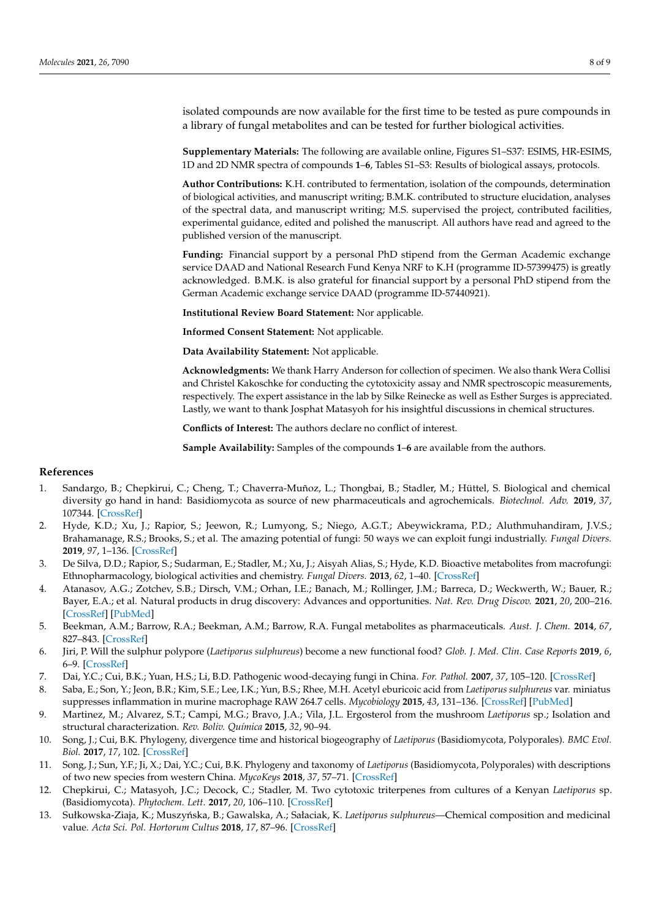isolated compounds are now available for the first time to be tested as pure compounds in a library of fungal metabolites and can be tested for further biological activities.

**Supplementary Materials:** The following are available online, Figures S1–S37: ESIMS, HR-ESIMS, 1D and 2D NMR spectra of compounds **1**–**6**, Tables S1–S3: Results of biological assays, protocols.

**Author Contributions:** K.H. contributed to fermentation, isolation of the compounds, determination of biological activities, and manuscript writing; B.M.K. contributed to structure elucidation, analyses of the spectral data, and manuscript writing; M.S. supervised the project, contributed facilities, experimental guidance, edited and polished the manuscript. All authors have read and agreed to the published version of the manuscript.

**Funding:** Financial support by a personal PhD stipend from the German Academic exchange service DAAD and National Research Fund Kenya NRF to K.H (programme ID-57399475) is greatly acknowledged. B.M.K. is also grateful for financial support by a personal PhD stipend from the German Academic exchange service DAAD (programme ID-57440921).

**Institutional Review Board Statement:** Nor applicable.

**Informed Consent Statement:** Not applicable.

**Data Availability Statement:** Not applicable.

**Acknowledgments:** We thank Harry Anderson for collection of specimen. We also thank Wera Collisi and Christel Kakoschke for conducting the cytotoxicity assay and NMR spectroscopic measurements, respectively. The expert assistance in the lab by Silke Reinecke as well as Esther Surges is appreciated. Lastly, we want to thank Josphat Matasyoh for his insightful discussions in chemical structures.

**Conflicts of Interest:** The authors declare no conflict of interest.

**Sample Availability:** Samples of the compounds **1**–**6** are available from the authors.

## **References**

- <span id="page-7-0"></span>1. Sandargo, B.; Chepkirui, C.; Cheng, T.; Chaverra-Muñoz, L.; Thongbai, B.; Stadler, M.; Hüttel, S. Biological and chemical diversity go hand in hand: Basidiomycota as source of new pharmaceuticals and agrochemicals. *Biotechnol. Adv.* **2019**, *37*, 107344. [\[CrossRef\]](http://doi.org/10.1016/j.biotechadv.2019.01.011)
- <span id="page-7-1"></span>2. Hyde, K.D.; Xu, J.; Rapior, S.; Jeewon, R.; Lumyong, S.; Niego, A.G.T.; Abeywickrama, P.D.; Aluthmuhandiram, J.V.S.; Brahamanage, R.S.; Brooks, S.; et al. The amazing potential of fungi: 50 ways we can exploit fungi industrially. *Fungal Divers.* **2019**, *97*, 1–136. [\[CrossRef\]](http://doi.org/10.1007/s13225-019-00430-9)
- <span id="page-7-2"></span>3. De Silva, D.D.; Rapior, S.; Sudarman, E.; Stadler, M.; Xu, J.; Aisyah Alias, S.; Hyde, K.D. Bioactive metabolites from macrofungi: Ethnopharmacology, biological activities and chemistry. *Fungal Divers.* **2013**, *62*, 1–40. [\[CrossRef\]](http://doi.org/10.1007/s13225-013-0265-2)
- 4. Atanasov, A.G.; Zotchev, S.B.; Dirsch, V.M.; Orhan, I.E.; Banach, M.; Rollinger, J.M.; Barreca, D.; Weckwerth, W.; Bauer, R.; Bayer, E.A.; et al. Natural products in drug discovery: Advances and opportunities. *Nat. Rev. Drug Discov.* **2021**, *20*, 200–216. [\[CrossRef\]](http://doi.org/10.1038/s41573-020-00114-z) [\[PubMed\]](http://www.ncbi.nlm.nih.gov/pubmed/33510482)
- <span id="page-7-3"></span>5. Beekman, A.M.; Barrow, R.A.; Beekman, A.M.; Barrow, R.A. Fungal metabolites as pharmaceuticals. *Aust. J. Chem.* **2014**, *67*, 827–843. [\[CrossRef\]](http://doi.org/10.1071/CH13639)
- <span id="page-7-4"></span>6. Jiri, P. Will the sulphur polypore (*Laetiporus sulphureus*) become a new functional food? *Glob. J. Med. Clin. Case Reports* **2019**, *6*, 6–9. [\[CrossRef\]](http://doi.org/10.17352/2455-5282.000068)
- <span id="page-7-5"></span>7. Dai, Y.C.; Cui, B.K.; Yuan, H.S.; Li, B.D. Pathogenic wood-decaying fungi in China. *For. Pathol.* **2007**, *37*, 105–120. [\[CrossRef\]](http://doi.org/10.1111/j.1439-0329.2007.00485.x)
- 8. Saba, E.; Son, Y.; Jeon, B.R.; Kim, S.E.; Lee, I.K.; Yun, B.S.; Rhee, M.H. Acetyl eburicoic acid from *Laetiporus sulphureus* var. miniatus suppresses inflammation in murine macrophage RAW 264.7 cells. *Mycobiology* **2015**, *43*, 131–136. [\[CrossRef\]](http://doi.org/10.5941/MYCO.2015.43.2.131) [\[PubMed\]](http://www.ncbi.nlm.nih.gov/pubmed/26190920)
- <span id="page-7-6"></span>9. Martinez, M.; Alvarez, S.T.; Campi, M.G.; Bravo, J.A.; Vila, J.L. Ergosterol from the mushroom *Laetiporus* sp.; Isolation and structural characterization. *Rev. Boliv. Química* **2015**, *32*, 90–94.
- <span id="page-7-7"></span>10. Song, J.; Cui, B.K. Phylogeny, divergence time and historical biogeography of *Laetiporus* (Basidiomycota, Polyporales). *BMC Evol. Biol.* **2017**, *17*, 102. [\[CrossRef\]](http://doi.org/10.1186/s12862-017-0948-5)
- <span id="page-7-8"></span>11. Song, J.; Sun, Y.F.; Ji, X.; Dai, Y.C.; Cui, B.K. Phylogeny and taxonomy of *Laetiporus* (Basidiomycota, Polyporales) with descriptions of two new species from western China. *MycoKeys* **2018**, *37*, 57–71. [\[CrossRef\]](http://doi.org/10.3897/mycokeys.37.26016)
- <span id="page-7-9"></span>12. Chepkirui, C.; Matasyoh, J.C.; Decock, C.; Stadler, M. Two cytotoxic triterpenes from cultures of a Kenyan *Laetiporus* sp. (Basidiomycota). *Phytochem. Lett.* **2017**, *20*, 106–110. [\[CrossRef\]](http://doi.org/10.1016/j.phytol.2017.04.009)
- <span id="page-7-10"></span>13. Sułkowska-Ziaja, K.; Muszyńska, B.; Gawalska, A.; Sałaciak, K. *Laetiporus sulphureus*—Chemical composition and medicinal value. *Acta Sci. Pol. Hortorum Cultus* **2018**, *17*, 87–96. [\[CrossRef\]](http://doi.org/10.24326/asphc.2018.1.8)